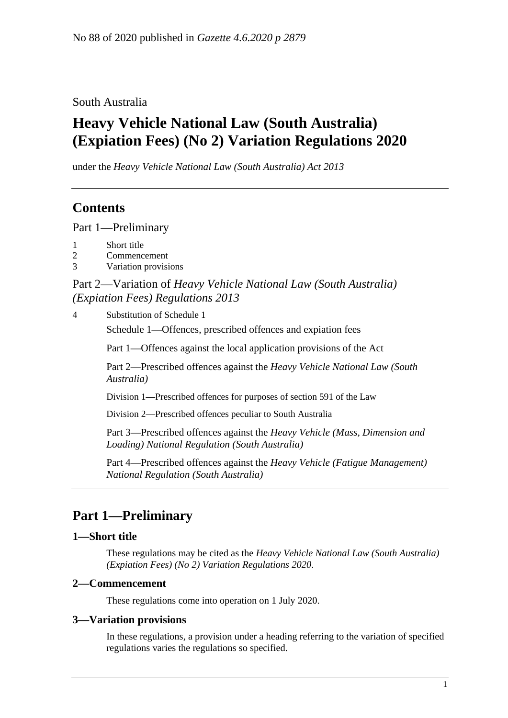#### South Australia

# **Heavy Vehicle National Law (South Australia) (Expiation Fees) (No 2) Variation Regulations 2020**

under the *Heavy Vehicle National Law (South Australia) Act 2013*

### **Contents**

Part [1—Preliminary](#page-0-0)

- 1 [Short title](#page-0-1)
- 2 [Commencement](#page-0-2)
- 3 [Variation provisions](#page-0-3)

### Part 2—Variation of *[Heavy Vehicle National Law \(South Australia\)](#page-1-0)  [\(Expiation Fees\) Regulations](#page-1-0) 2013*

4 [Substitution of Schedule 1](#page-1-1)

Schedule 1—Offences, prescribed offences and expiation fees

Part 1—Offences against the local application provisions of the Act

Part 2—Prescribed offences against the *Heavy Vehicle National Law (South Australia)*

Division 1—Prescribed offences for purposes of section 591 of the Law

Division 2—Prescribed offences peculiar to South Australia

Part 3—Prescribed offences against the *Heavy Vehicle (Mass, Dimension and Loading) National Regulation (South Australia)*

Part 4—Prescribed offences against the *Heavy Vehicle (Fatigue Management) National Regulation (South Australia)*

### <span id="page-0-0"></span>**Part 1—Preliminary**

#### <span id="page-0-1"></span>**1—Short title**

These regulations may be cited as the *Heavy Vehicle National Law (South Australia) (Expiation Fees) (No 2) Variation Regulations 2020*.

#### <span id="page-0-2"></span>**2—Commencement**

These regulations come into operation on 1 July 2020.

#### <span id="page-0-3"></span>**3—Variation provisions**

In these regulations, a provision under a heading referring to the variation of specified regulations varies the regulations so specified.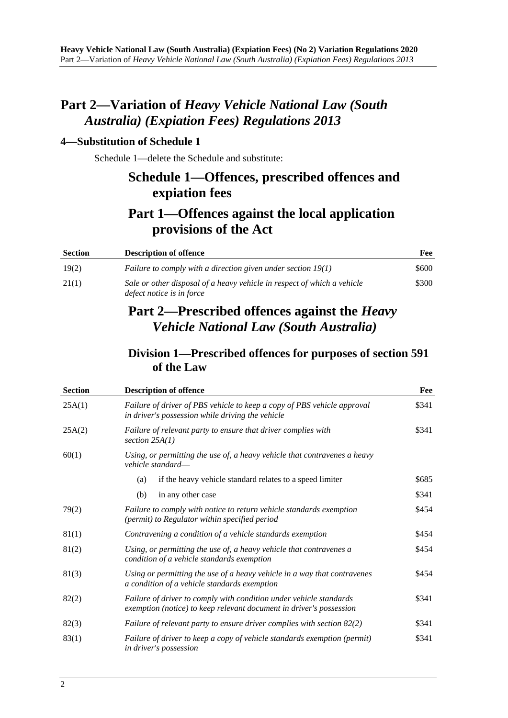### <span id="page-1-0"></span>**Part 2—Variation of** *Heavy Vehicle National Law (South Australia) (Expiation Fees) Regulations 2013*

#### <span id="page-1-1"></span>**4—Substitution of Schedule 1**

Schedule 1—delete the Schedule and substitute:

### **Schedule 1—Offences, prescribed offences and expiation fees**

## **Part 1—Offences against the local application provisions of the Act**

| <b>Section</b> | <b>Description of offence</b>                                                                        | Fee   |
|----------------|------------------------------------------------------------------------------------------------------|-------|
| 19(2)          | Failure to comply with a direction given under section $19(1)$                                       | \$600 |
| 21(1)          | Sale or other disposal of a heavy vehicle in respect of which a vehicle<br>defect notice is in force | \$300 |

### **Part 2—Prescribed offences against the** *Heavy Vehicle National Law (South Australia)*

### **Division 1—Prescribed offences for purposes of section 591 of the Law**

| <b>Section</b> | <b>Description of offence</b>                                                                                                             | Fee   |
|----------------|-------------------------------------------------------------------------------------------------------------------------------------------|-------|
| 25A(1)         | Failure of driver of PBS vehicle to keep a copy of PBS vehicle approval<br>in driver's possession while driving the vehicle               | \$341 |
| 25A(2)         | Failure of relevant party to ensure that driver complies with<br>section $25A(1)$                                                         | \$341 |
| 60(1)          | Using, or permitting the use of, a heavy vehicle that contravenes a heavy<br>vehicle standard—                                            |       |
|                | if the heavy vehicle standard relates to a speed limiter<br>(a)                                                                           | \$685 |
|                | (b)<br>in any other case                                                                                                                  | \$341 |
| 79(2)          | Failure to comply with notice to return vehicle standards exemption<br>(permit) to Regulator within specified period                      | \$454 |
| 81(1)          | Contravening a condition of a vehicle standards exemption                                                                                 | \$454 |
| 81(2)          | Using, or permitting the use of, a heavy vehicle that contravenes a<br>condition of a vehicle standards exemption                         | \$454 |
| 81(3)          | Using or permitting the use of a heavy vehicle in a way that contravenes<br>a condition of a vehicle standards exemption                  | \$454 |
| 82(2)          | Failure of driver to comply with condition under vehicle standards<br>exemption (notice) to keep relevant document in driver's possession | \$341 |
| 82(3)          | Failure of relevant party to ensure driver complies with section 82(2)                                                                    | \$341 |
| 83(1)          | Failure of driver to keep a copy of vehicle standards exemption (permit)<br>in driver's possession                                        | \$341 |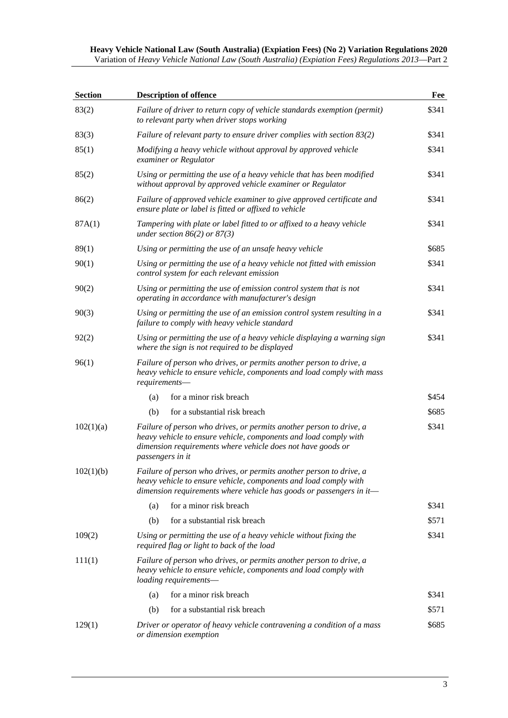| Heavy Vehicle National Law (South Australia) (Expiation Fees) (No 2) Variation Regulations 2020    |  |  |  |
|----------------------------------------------------------------------------------------------------|--|--|--|
| Variation of Heavy Vehicle National Law (South Australia) (Expiation Fees) Regulations 2013—Part 2 |  |  |  |

| <b>Section</b> | <b>Description of offence</b>                                                                                                                                                                                              | Fee   |
|----------------|----------------------------------------------------------------------------------------------------------------------------------------------------------------------------------------------------------------------------|-------|
| 83(2)          | Failure of driver to return copy of vehicle standards exemption (permit)<br>to relevant party when driver stops working                                                                                                    | \$341 |
| 83(3)          | Failure of relevant party to ensure driver complies with section 83(2)                                                                                                                                                     | \$341 |
| 85(1)          | Modifying a heavy vehicle without approval by approved vehicle<br>examiner or Regulator                                                                                                                                    | \$341 |
| 85(2)          | Using or permitting the use of a heavy vehicle that has been modified<br>without approval by approved vehicle examiner or Regulator                                                                                        | \$341 |
| 86(2)          | Failure of approved vehicle examiner to give approved certificate and<br>ensure plate or label is fitted or affixed to vehicle                                                                                             | \$341 |
| 87A(1)         | Tampering with plate or label fitted to or affixed to a heavy vehicle<br>under section $86(2)$ or $87(3)$                                                                                                                  | \$341 |
| 89(1)          | Using or permitting the use of an unsafe heavy vehicle                                                                                                                                                                     | \$685 |
| 90(1)          | Using or permitting the use of a heavy vehicle not fitted with emission<br>control system for each relevant emission                                                                                                       | \$341 |
| 90(2)          | Using or permitting the use of emission control system that is not<br>operating in accordance with manufacturer's design                                                                                                   | \$341 |
| 90(3)          | Using or permitting the use of an emission control system resulting in a<br>failure to comply with heavy vehicle standard                                                                                                  | \$341 |
| 92(2)          | Using or permitting the use of a heavy vehicle displaying a warning sign<br>where the sign is not required to be displayed                                                                                                 | \$341 |
| 96(1)          | Failure of person who drives, or permits another person to drive, a<br>heavy vehicle to ensure vehicle, components and load comply with mass<br>requirements-                                                              |       |
|                | for a minor risk breach<br>(a)                                                                                                                                                                                             | \$454 |
|                | for a substantial risk breach<br>(b)                                                                                                                                                                                       | \$685 |
| 102(1)(a)      | Failure of person who drives, or permits another person to drive, a<br>heavy vehicle to ensure vehicle, components and load comply with<br>dimension requirements where vehicle does not have goods or<br>passengers in it | \$341 |
| 102(1)(b)      | Failure of person who drives, or permits another person to drive, a<br>heavy vehicle to ensure vehicle, components and load comply with<br>dimension requirements where vehicle has goods or passengers in it-             |       |
|                | for a minor risk breach<br>(a)                                                                                                                                                                                             | \$341 |
|                | for a substantial risk breach<br>(b)                                                                                                                                                                                       | \$571 |
| 109(2)         | Using or permitting the use of a heavy vehicle without fixing the<br>required flag or light to back of the load                                                                                                            | \$341 |
| 111(1)         | Failure of person who drives, or permits another person to drive, a<br>heavy vehicle to ensure vehicle, components and load comply with<br>loading requirements-                                                           |       |
|                | for a minor risk breach<br>(a)                                                                                                                                                                                             | \$341 |
|                | for a substantial risk breach<br>(b)                                                                                                                                                                                       | \$571 |
| 129(1)         | Driver or operator of heavy vehicle contravening a condition of a mass<br>or dimension exemption                                                                                                                           | \$685 |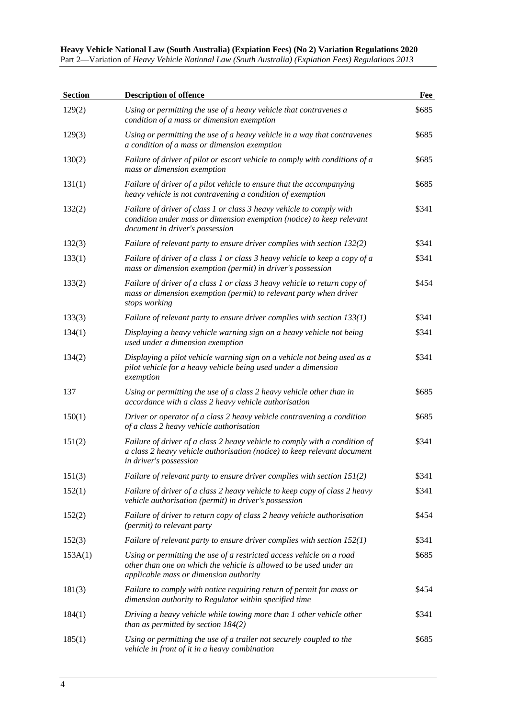| <b>Section</b> | <b>Description of offence</b>                                                                                                                                                        | Fee   |
|----------------|--------------------------------------------------------------------------------------------------------------------------------------------------------------------------------------|-------|
| 129(2)         | Using or permitting the use of a heavy vehicle that contravenes a<br>condition of a mass or dimension exemption                                                                      | \$685 |
| 129(3)         | Using or permitting the use of a heavy vehicle in a way that contravenes<br>a condition of a mass or dimension exemption                                                             | \$685 |
| 130(2)         | Failure of driver of pilot or escort vehicle to comply with conditions of a<br>mass or dimension exemption                                                                           | \$685 |
| 131(1)         | Failure of driver of a pilot vehicle to ensure that the accompanying<br>heavy vehicle is not contravening a condition of exemption                                                   | \$685 |
| 132(2)         | Failure of driver of class 1 or class 3 heavy vehicle to comply with<br>condition under mass or dimension exemption (notice) to keep relevant<br>document in driver's possession     | \$341 |
| 132(3)         | Failure of relevant party to ensure driver complies with section 132(2)                                                                                                              | \$341 |
| 133(1)         | Failure of driver of a class 1 or class 3 heavy vehicle to keep a copy of a<br>mass or dimension exemption (permit) in driver's possession                                           | \$341 |
| 133(2)         | Failure of driver of a class 1 or class 3 heavy vehicle to return copy of<br>mass or dimension exemption (permit) to relevant party when driver<br>stops working                     | \$454 |
| 133(3)         | Failure of relevant party to ensure driver complies with section $133(1)$                                                                                                            | \$341 |
| 134(1)         | Displaying a heavy vehicle warning sign on a heavy vehicle not being<br>used under a dimension exemption                                                                             | \$341 |
| 134(2)         | Displaying a pilot vehicle warning sign on a vehicle not being used as a<br>pilot vehicle for a heavy vehicle being used under a dimension<br>exemption                              | \$341 |
| 137            | Using or permitting the use of a class 2 heavy vehicle other than in<br>accordance with a class 2 heavy vehicle authorisation                                                        | \$685 |
| 150(1)         | Driver or operator of a class 2 heavy vehicle contravening a condition<br>of a class 2 heavy vehicle authorisation                                                                   | \$685 |
| 151(2)         | Failure of driver of a class 2 heavy vehicle to comply with a condition of<br>a class 2 heavy vehicle authorisation (notice) to keep relevant document<br>in driver's possession     | \$341 |
| 151(3)         | Failure of relevant party to ensure driver complies with section 151(2)                                                                                                              | \$341 |
| 152(1)         | Failure of driver of a class 2 heavy vehicle to keep copy of class 2 heavy<br>vehicle authorisation (permit) in driver's possession                                                  | \$341 |
| 152(2)         | Failure of driver to return copy of class 2 heavy vehicle authorisation<br>(permit) to relevant party                                                                                | \$454 |
| 152(3)         | Failure of relevant party to ensure driver complies with section $152(1)$                                                                                                            | \$341 |
| 153A(1)        | Using or permitting the use of a restricted access vehicle on a road<br>other than one on which the vehicle is allowed to be used under an<br>applicable mass or dimension authority | \$685 |
| 181(3)         | Failure to comply with notice requiring return of permit for mass or<br>dimension authority to Regulator within specified time                                                       | \$454 |
| 184(1)         | Driving a heavy vehicle while towing more than 1 other vehicle other<br>than as permitted by section $184(2)$                                                                        | \$341 |
| 185(1)         | Using or permitting the use of a trailer not securely coupled to the<br>vehicle in front of it in a heavy combination                                                                | \$685 |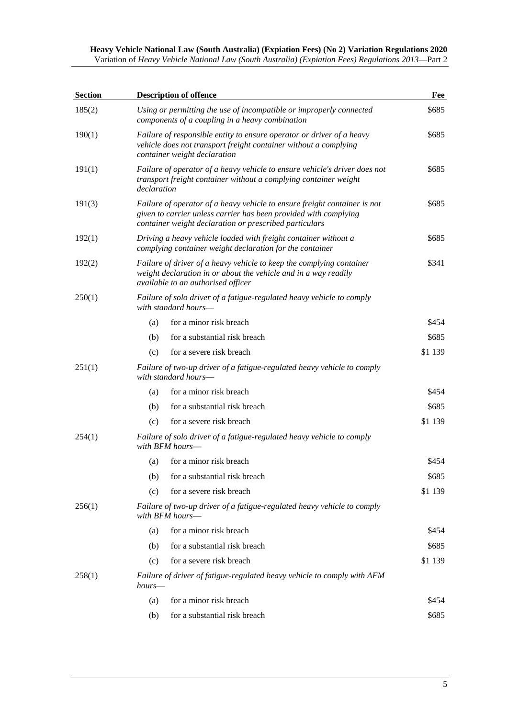| <b>Section</b> | <b>Description of offence</b>                                                                                                                                                                           | Fee     |
|----------------|---------------------------------------------------------------------------------------------------------------------------------------------------------------------------------------------------------|---------|
| 185(2)         | Using or permitting the use of incompatible or improperly connected<br>components of a coupling in a heavy combination                                                                                  | \$685   |
| 190(1)         | Failure of responsible entity to ensure operator or driver of a heavy<br>vehicle does not transport freight container without a complying<br>container weight declaration                               | \$685   |
| 191(1)         | Failure of operator of a heavy vehicle to ensure vehicle's driver does not<br>transport freight container without a complying container weight<br>declaration                                           | \$685   |
| 191(3)         | Failure of operator of a heavy vehicle to ensure freight container is not<br>given to carrier unless carrier has been provided with complying<br>container weight declaration or prescribed particulars | \$685   |
| 192(1)         | Driving a heavy vehicle loaded with freight container without a<br>complying container weight declaration for the container                                                                             | \$685   |
| 192(2)         | Failure of driver of a heavy vehicle to keep the complying container<br>weight declaration in or about the vehicle and in a way readily<br>available to an authorised officer                           | \$341   |
| 250(1)         | Failure of solo driver of a fatigue-regulated heavy vehicle to comply<br>with standard hours-                                                                                                           |         |
|                | for a minor risk breach<br>(a)                                                                                                                                                                          | \$454   |
|                | for a substantial risk breach<br>(b)                                                                                                                                                                    | \$685   |
|                | for a severe risk breach<br>(c)                                                                                                                                                                         | \$1 139 |
| 251(1)         | Failure of two-up driver of a fatigue-regulated heavy vehicle to comply<br>with standard hours-                                                                                                         |         |
|                | for a minor risk breach<br>(a)                                                                                                                                                                          | \$454   |
|                | for a substantial risk breach<br>(b)                                                                                                                                                                    | \$685   |
|                | for a severe risk breach<br>(c)                                                                                                                                                                         | \$1 139 |
| 254(1)         | Failure of solo driver of a fatigue-regulated heavy vehicle to comply<br>with BFM hours—                                                                                                                |         |
|                | for a minor risk breach<br>(a)                                                                                                                                                                          | \$454   |
|                | for a substantial risk breach<br>(b)                                                                                                                                                                    | \$685   |
|                | for a severe risk breach<br>(c)                                                                                                                                                                         | \$1 139 |
| 256(1)         | Failure of two-up driver of a fatigue-regulated heavy vehicle to comply<br>with BFM hours—                                                                                                              |         |
|                | for a minor risk breach<br>(a)                                                                                                                                                                          | \$454   |
|                | for a substantial risk breach<br>(b)                                                                                                                                                                    | \$685   |
|                | for a severe risk breach<br>(c)                                                                                                                                                                         | \$1 139 |
| 258(1)         | Failure of driver of fatigue-regulated heavy vehicle to comply with AFM<br>hours—                                                                                                                       |         |
|                | for a minor risk breach<br>(a)                                                                                                                                                                          | \$454   |
|                | for a substantial risk breach<br>(b)                                                                                                                                                                    | \$685   |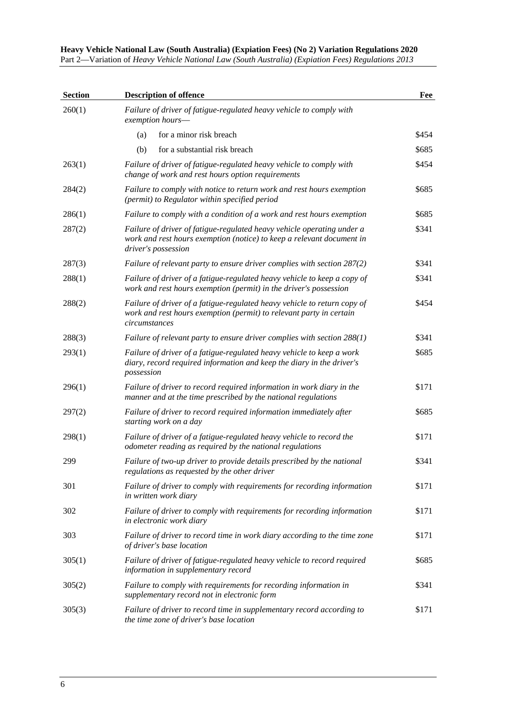| <b>Section</b> | <b>Description of offence</b>                                                                                                                                          | Fee   |
|----------------|------------------------------------------------------------------------------------------------------------------------------------------------------------------------|-------|
| 260(1)         | Failure of driver of fatigue-regulated heavy vehicle to comply with<br>exemption hours-                                                                                |       |
|                | for a minor risk breach<br>(a)                                                                                                                                         | \$454 |
|                | for a substantial risk breach<br>(b)                                                                                                                                   | \$685 |
| 263(1)         | Failure of driver of fatigue-regulated heavy vehicle to comply with<br>change of work and rest hours option requirements                                               | \$454 |
| 284(2)         | Failure to comply with notice to return work and rest hours exemption<br>(permit) to Regulator within specified period                                                 | \$685 |
| 286(1)         | Failure to comply with a condition of a work and rest hours exemption                                                                                                  | \$685 |
| 287(2)         | Failure of driver of fatigue-regulated heavy vehicle operating under a<br>work and rest hours exemption (notice) to keep a relevant document in<br>driver's possession | \$341 |
| 287(3)         | Failure of relevant party to ensure driver complies with section 287(2)                                                                                                | \$341 |
| 288(1)         | Failure of driver of a fatigue-regulated heavy vehicle to keep a copy of<br>work and rest hours exemption (permit) in the driver's possession                          | \$341 |
| 288(2)         | Failure of driver of a fatigue-regulated heavy vehicle to return copy of<br>work and rest hours exemption (permit) to relevant party in certain<br>circumstances       | \$454 |
| 288(3)         | Failure of relevant party to ensure driver complies with section $288(1)$                                                                                              | \$341 |
| 293(1)         | Failure of driver of a fatigue-regulated heavy vehicle to keep a work<br>diary, record required information and keep the diary in the driver's<br>possession           | \$685 |
| 296(1)         | Failure of driver to record required information in work diary in the<br>manner and at the time prescribed by the national regulations                                 | \$171 |
| 297(2)         | Failure of driver to record required information immediately after<br>starting work on a day                                                                           | \$685 |
| 298(1)         | Failure of driver of a fatigue-regulated heavy vehicle to record the<br>odometer reading as required by the national regulations                                       | \$171 |
| 299            | Failure of two-up driver to provide details prescribed by the national<br>regulations as requested by the other driver                                                 | \$341 |
| 301            | Failure of driver to comply with requirements for recording information<br>in written work diary                                                                       | \$171 |
| 302            | Failure of driver to comply with requirements for recording information<br>in electronic work diary                                                                    | \$171 |
| 303            | Failure of driver to record time in work diary according to the time zone<br>of driver's base location                                                                 | \$171 |
| 305(1)         | Failure of driver of fatigue-regulated heavy vehicle to record required<br>information in supplementary record                                                         | \$685 |
| 305(2)         | Failure to comply with requirements for recording information in<br>supplementary record not in electronic form                                                        | \$341 |
| 305(3)         | Failure of driver to record time in supplementary record according to<br>the time zone of driver's base location                                                       | \$171 |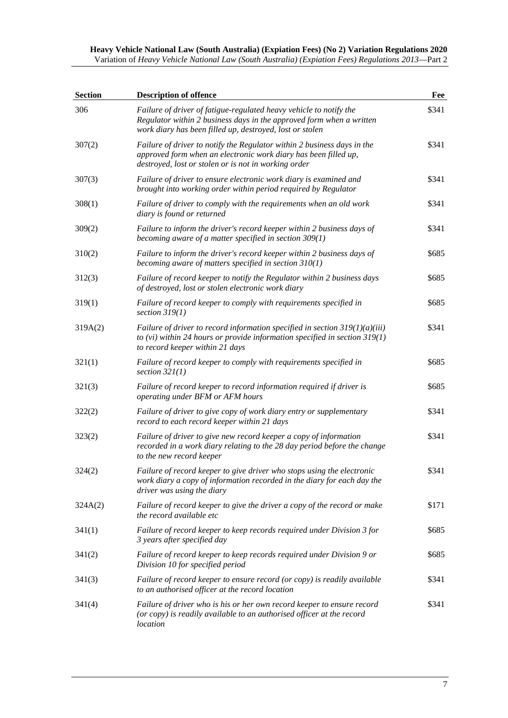| <b>Section</b> | <b>Description of offence</b>                                                                                                                                                                          | Fee   |
|----------------|--------------------------------------------------------------------------------------------------------------------------------------------------------------------------------------------------------|-------|
| 306            | Failure of driver of fatigue-regulated heavy vehicle to notify the<br>Regulator within 2 business days in the approved form when a written<br>work diary has been filled up, destroyed, lost or stolen | \$341 |
| 307(2)         | Failure of driver to notify the Regulator within 2 business days in the<br>approved form when an electronic work diary has been filled up,<br>destroyed, lost or stolen or is not in working order     | \$341 |
| 307(3)         | Failure of driver to ensure electronic work diary is examined and<br>brought into working order within period required by Regulator                                                                    | \$341 |
| 308(1)         | Failure of driver to comply with the requirements when an old work<br>diary is found or returned                                                                                                       | \$341 |
| 309(2)         | Failure to inform the driver's record keeper within 2 business days of<br>becoming aware of a matter specified in section $309(1)$                                                                     | \$341 |
| 310(2)         | Failure to inform the driver's record keeper within 2 business days of<br>becoming aware of matters specified in section $310(1)$                                                                      | \$685 |
| 312(3)         | Failure of record keeper to notify the Regulator within 2 business days<br>of destroyed, lost or stolen electronic work diary                                                                          | \$685 |
| 319(1)         | Failure of record keeper to comply with requirements specified in<br>section $319(1)$                                                                                                                  | \$685 |
| 319A(2)        | Failure of driver to record information specified in section $319(1)(a)(iii)$<br>to (vi) within 24 hours or provide information specified in section $319(1)$<br>to record keeper within 21 days       | \$341 |
| 321(1)         | Failure of record keeper to comply with requirements specified in<br>section $32I(1)$                                                                                                                  | \$685 |
| 321(3)         | Failure of record keeper to record information required if driver is<br>operating under BFM or AFM hours                                                                                               | \$685 |
| 322(2)         | Failure of driver to give copy of work diary entry or supplementary<br>record to each record keeper within 21 days                                                                                     | \$341 |
| 323(2)         | Failure of driver to give new record keeper a copy of information<br>recorded in a work diary relating to the 28 day period before the change<br>to the new record keeper                              | \$341 |
| 324(2)         | Failure of record keeper to give driver who stops using the electronic<br>work diary a copy of information recorded in the diary for each day the<br>driver was using the diary                        | \$341 |
| 324A(2)        | Failure of record keeper to give the driver a copy of the record or make<br>the record available etc                                                                                                   | \$171 |
| 341(1)         | Failure of record keeper to keep records required under Division 3 for<br>3 years after specified day                                                                                                  | \$685 |
| 341(2)         | Failure of record keeper to keep records required under Division 9 or<br>Division 10 for specified period                                                                                              | \$685 |
| 341(3)         | Failure of record keeper to ensure record (or copy) is readily available<br>to an authorised officer at the record location                                                                            | \$341 |
| 341(4)         | Failure of driver who is his or her own record keeper to ensure record<br>(or copy) is readily available to an authorised officer at the record<br>location                                            | \$341 |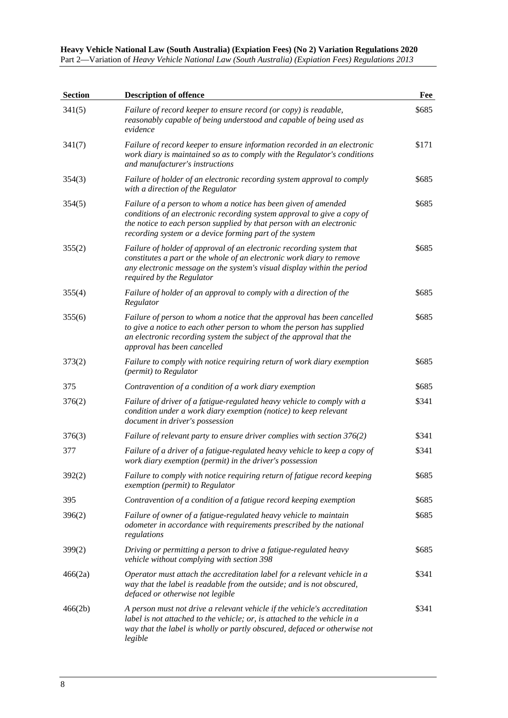| <b>Section</b> | <b>Description of offence</b>                                                                                                                                                                                                                                                | Fee   |
|----------------|------------------------------------------------------------------------------------------------------------------------------------------------------------------------------------------------------------------------------------------------------------------------------|-------|
| 341(5)         | Failure of record keeper to ensure record (or copy) is readable,<br>reasonably capable of being understood and capable of being used as<br>evidence                                                                                                                          | \$685 |
| 341(7)         | Failure of record keeper to ensure information recorded in an electronic<br>work diary is maintained so as to comply with the Regulator's conditions<br>and manufacturer's instructions                                                                                      | \$171 |
| 354(3)         | Failure of holder of an electronic recording system approval to comply<br>with a direction of the Regulator                                                                                                                                                                  | \$685 |
| 354(5)         | Failure of a person to whom a notice has been given of amended<br>conditions of an electronic recording system approval to give a copy of<br>the notice to each person supplied by that person with an electronic<br>recording system or a device forming part of the system | \$685 |
| 355(2)         | Failure of holder of approval of an electronic recording system that<br>constitutes a part or the whole of an electronic work diary to remove<br>any electronic message on the system's visual display within the period<br>required by the Regulator                        | \$685 |
| 355(4)         | Failure of holder of an approval to comply with a direction of the<br>Regulator                                                                                                                                                                                              | \$685 |
| 355(6)         | Failure of person to whom a notice that the approval has been cancelled<br>to give a notice to each other person to whom the person has supplied<br>an electronic recording system the subject of the approval that the<br>approval has been cancelled                       | \$685 |
| 373(2)         | Failure to comply with notice requiring return of work diary exemption<br>(permit) to Regulator                                                                                                                                                                              | \$685 |
| 375            | Contravention of a condition of a work diary exemption                                                                                                                                                                                                                       | \$685 |
| 376(2)         | Failure of driver of a fatigue-regulated heavy vehicle to comply with a<br>condition under a work diary exemption (notice) to keep relevant<br>document in driver's possession                                                                                               | \$341 |
| 376(3)         | Failure of relevant party to ensure driver complies with section 376(2)                                                                                                                                                                                                      | \$341 |
| 377            | Failure of a driver of a fatigue-regulated heavy vehicle to keep a copy of<br>work diary exemption (permit) in the driver's possession                                                                                                                                       | \$341 |
| 392(2)         | Failure to comply with notice requiring return of fatigue record keeping<br>exemption (permit) to Regulator                                                                                                                                                                  | \$685 |
| 395            | Contravention of a condition of a fatigue record keeping exemption                                                                                                                                                                                                           | \$685 |
| 396(2)         | Failure of owner of a fatigue-regulated heavy vehicle to maintain<br>odometer in accordance with requirements prescribed by the national<br>regulations                                                                                                                      | \$685 |
| 399(2)         | Driving or permitting a person to drive a fatigue-regulated heavy<br>vehicle without complying with section 398                                                                                                                                                              | \$685 |
| 466(2a)        | Operator must attach the accreditation label for a relevant vehicle in a<br>way that the label is readable from the outside; and is not obscured,<br>defaced or otherwise not legible                                                                                        | \$341 |
| 466(2b)        | A person must not drive a relevant vehicle if the vehicle's accreditation<br>label is not attached to the vehicle; or, is attached to the vehicle in a<br>way that the label is wholly or partly obscured, defaced or otherwise not<br>legible                               | \$341 |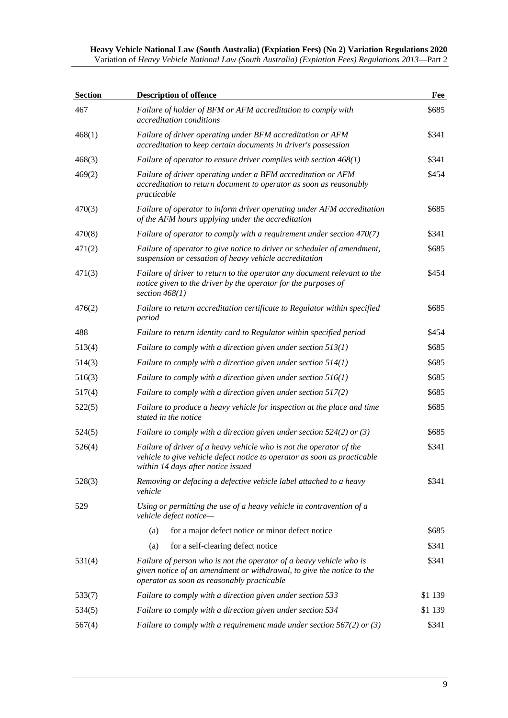| <b>Section</b> | <b>Description of offence</b>                                                                                                                                                              | Fee     |
|----------------|--------------------------------------------------------------------------------------------------------------------------------------------------------------------------------------------|---------|
| 467            | Failure of holder of BFM or AFM accreditation to comply with<br>accreditation conditions                                                                                                   | \$685   |
| 468(1)         | Failure of driver operating under BFM accreditation or AFM<br>accreditation to keep certain documents in driver's possession                                                               | \$341   |
| 468(3)         | Failure of operator to ensure driver complies with section $468(1)$                                                                                                                        | \$341   |
| 469(2)         | Failure of driver operating under a BFM accreditation or AFM<br>accreditation to return document to operator as soon as reasonably<br>practicable                                          | \$454   |
| 470(3)         | Failure of operator to inform driver operating under AFM accreditation<br>of the AFM hours applying under the accreditation                                                                | \$685   |
| 470(8)         | Failure of operator to comply with a requirement under section 470(7)                                                                                                                      | \$341   |
| 471(2)         | Failure of operator to give notice to driver or scheduler of amendment,<br>suspension or cessation of heavy vehicle accreditation                                                          | \$685   |
| 471(3)         | Failure of driver to return to the operator any document relevant to the<br>notice given to the driver by the operator for the purposes of<br>section $468(1)$                             | \$454   |
| 476(2)         | Failure to return accreditation certificate to Regulator within specified<br>period                                                                                                        | \$685   |
| 488            | Failure to return identity card to Regulator within specified period                                                                                                                       | \$454   |
| 513(4)         | Failure to comply with a direction given under section $513(1)$                                                                                                                            | \$685   |
| 514(3)         | Failure to comply with a direction given under section $514(1)$                                                                                                                            | \$685   |
| 516(3)         | Failure to comply with a direction given under section $516(1)$                                                                                                                            | \$685   |
| 517(4)         | Failure to comply with a direction given under section 517(2)                                                                                                                              | \$685   |
| 522(5)         | Failure to produce a heavy vehicle for inspection at the place and time<br>stated in the notice                                                                                            | \$685   |
| 524(5)         | Failure to comply with a direction given under section 524(2) or (3)                                                                                                                       | \$685   |
| 526(4)         | Failure of driver of a heavy vehicle who is not the operator of the<br>vehicle to give vehicle defect notice to operator as soon as practicable<br>within 14 days after notice issued      | \$341   |
| 528(3)         | Removing or defacing a defective vehicle label attached to a heavy<br>vehicle                                                                                                              | \$341   |
| 529            | Using or permitting the use of a heavy vehicle in contravention of a<br>vehicle defect notice-                                                                                             |         |
|                | for a major defect notice or minor defect notice<br>(a)                                                                                                                                    | \$685   |
|                | for a self-clearing defect notice<br>(a)                                                                                                                                                   | \$341   |
| 531(4)         | Failure of person who is not the operator of a heavy vehicle who is<br>given notice of an amendment or withdrawal, to give the notice to the<br>operator as soon as reasonably practicable | \$341   |
| 533(7)         | Failure to comply with a direction given under section 533                                                                                                                                 | \$1 139 |
| 534(5)         | Failure to comply with a direction given under section 534                                                                                                                                 | \$1 139 |
| 567(4)         | Failure to comply with a requirement made under section $567(2)$ or (3)                                                                                                                    | \$341   |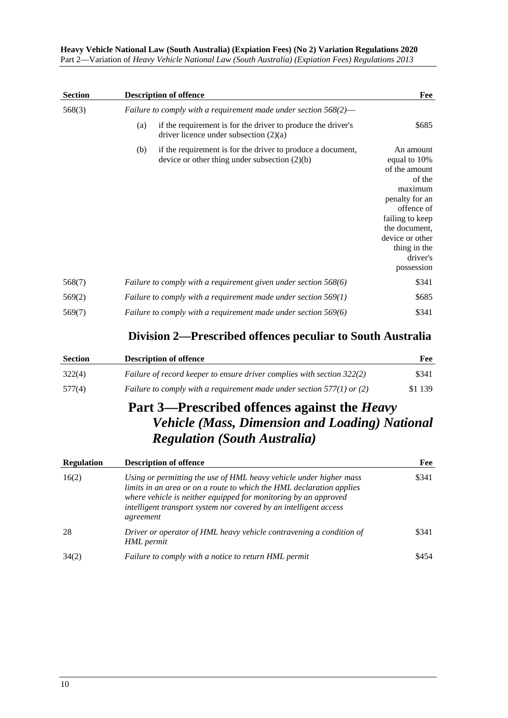| <b>Section</b> | <b>Description of offence</b>                                                                                         | Fee                                                                                                                                                                                              |
|----------------|-----------------------------------------------------------------------------------------------------------------------|--------------------------------------------------------------------------------------------------------------------------------------------------------------------------------------------------|
| 568(3)         | Failure to comply with a requirement made under section $568(2)$ —                                                    |                                                                                                                                                                                                  |
|                | if the requirement is for the driver to produce the driver's<br>(a)<br>driver licence under subsection $(2)(a)$       | \$685                                                                                                                                                                                            |
|                | if the requirement is for the driver to produce a document,<br>(b)<br>device or other thing under subsection $(2)(b)$ | An amount<br>equal to 10%<br>of the amount<br>of the<br>maximum<br>penalty for an<br>offence of<br>failing to keep<br>the document,<br>device or other<br>thing in the<br>driver's<br>possession |
| 568(7)         | Failure to comply with a requirement given under section 568(6)                                                       | \$341                                                                                                                                                                                            |
| 569(2)         | Failure to comply with a requirement made under section 569(1)                                                        | \$685                                                                                                                                                                                            |
| 569(7)         | Failure to comply with a requirement made under section 569(6)                                                        | \$341                                                                                                                                                                                            |

### **Division 2—Prescribed offences peculiar to South Australia**

| <b>Section</b> | <b>Description of offence</b>                                           | Fee     |
|----------------|-------------------------------------------------------------------------|---------|
| 322(4)         | Failure of record keeper to ensure driver complies with section 322(2)  | \$341   |
| 577(4)         | Failure to comply with a requirement made under section $577(1)$ or (2) | \$1 139 |

## **Part 3—Prescribed offences against the** *Heavy Vehicle (Mass, Dimension and Loading) National Regulation (South Australia)*

| <b>Regulation</b> | <b>Description of offence</b>                                                                                                                                                                                                                                                                   | Fee   |
|-------------------|-------------------------------------------------------------------------------------------------------------------------------------------------------------------------------------------------------------------------------------------------------------------------------------------------|-------|
| 16(2)             | Using or permitting the use of HML heavy vehicle under higher mass<br>limits in an area or on a route to which the HML declaration applies<br>where vehicle is neither equipped for monitoring by an approved<br>intelligent transport system nor covered by an intelligent access<br>agreement | \$341 |
| 28                | Driver or operator of HML heavy vehicle contravening a condition of<br>HML permit                                                                                                                                                                                                               | \$341 |
| 34(2)             | Failure to comply with a notice to return HML permit                                                                                                                                                                                                                                            | \$454 |